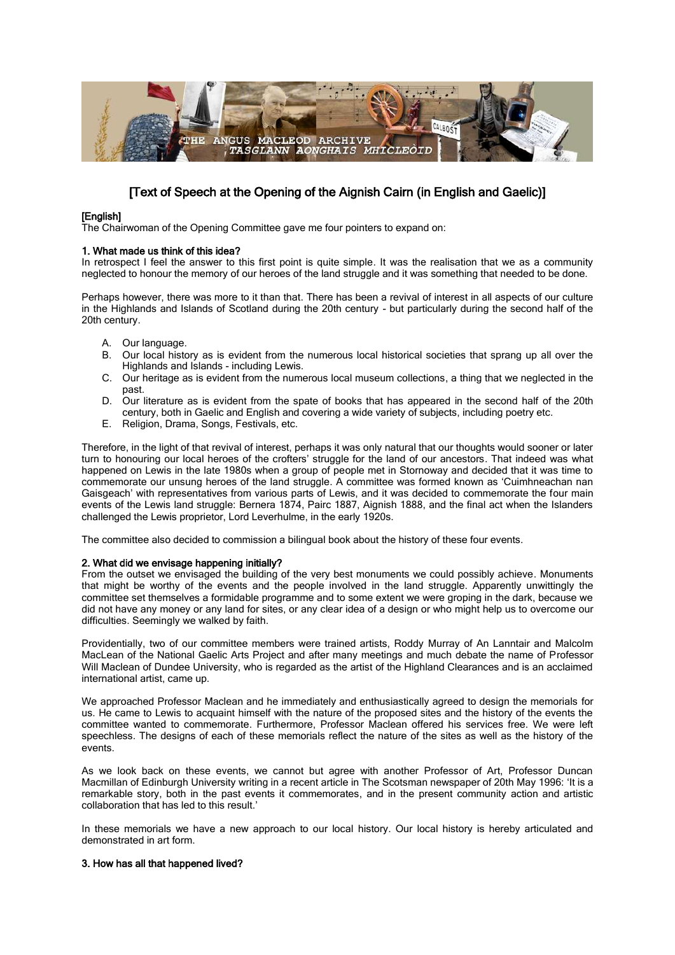

# [Text of Speech at the Opening of the Aignish Cairn (in English and Gaelic)]

# [English]

The Chairwoman of the Opening Committee gave me four pointers to expand on:

# 1. What made us think of this idea?

In retrospect I feel the answer to this first point is quite simple. It was the realisation that we as a community neglected to honour the memory of our heroes of the land struggle and it was something that needed to be done.

Perhaps however, there was more to it than that. There has been a revival of interest in all aspects of our culture in the Highlands and Islands of Scotland during the 20th century - but particularly during the second half of the 20th century.

- A. Our language.
- B. Our local history as is evident from the numerous local historical societies that sprang up all over the Highlands and Islands - including Lewis.
- C. Our heritage as is evident from the numerous local museum collections, a thing that we neglected in the past.
- D. Our literature as is evident from the spate of books that has appeared in the second half of the 20th century, both in Gaelic and English and covering a wide variety of subjects, including poetry etc.
- E. Religion, Drama, Songs, Festivals, etc.

Therefore, in the light of that revival of interest, perhaps it was only natural that our thoughts would sooner or later turn to honouring our local heroes of the crofters' struggle for the land of our ancestors. That indeed was what happened on Lewis in the late 1980s when a group of people met in Stornoway and decided that it was time to commemorate our unsung heroes of the land struggle. A committee was formed known as 'Cuimhneachan nan Gaisgeach' with representatives from various parts of Lewis, and it was decided to commemorate the four main events of the Lewis land struggle: Bernera 1874, Pairc 1887, Aignish 1888, and the final act when the Islanders challenged the Lewis proprietor, Lord Leverhulme, in the early 1920s.

The committee also decided to commission a bilingual book about the history of these four events.

### 2. What did we envisage happening initially?

From the outset we envisaged the building of the very best monuments we could possibly achieve. Monuments that might be worthy of the events and the people involved in the land struggle. Apparently unwittingly the committee set themselves a formidable programme and to some extent we were groping in the dark, because we did not have any money or any land for sites, or any clear idea of a design or who might help us to overcome our difficulties. Seemingly we walked by faith.

Providentially, two of our committee members were trained artists, Roddy Murray of An Lanntair and Malcolm MacLean of the National Gaelic Arts Project and after many meetings and much debate the name of Professor Will Maclean of Dundee University, who is regarded as the artist of the Highland Clearances and is an acclaimed international artist, came up.

We approached Professor Maclean and he immediately and enthusiastically agreed to design the memorials for us. He came to Lewis to acquaint himself with the nature of the proposed sites and the history of the events the committee wanted to commemorate. Furthermore, Professor Maclean offered his services free. We were left speechless. The designs of each of these memorials reflect the nature of the sites as well as the history of the events.

As we look back on these events, we cannot but agree with another Professor of Art, Professor Duncan Macmillan of Edinburgh University writing in a recent article in The Scotsman newspaper of 20th May 1996: 'It is a remarkable story, both in the past events it commemorates, and in the present community action and artistic collaboration that has led to this result.'

In these memorials we have a new approach to our local history. Our local history is hereby articulated and demonstrated in art form.

# 3. How has all that happened lived?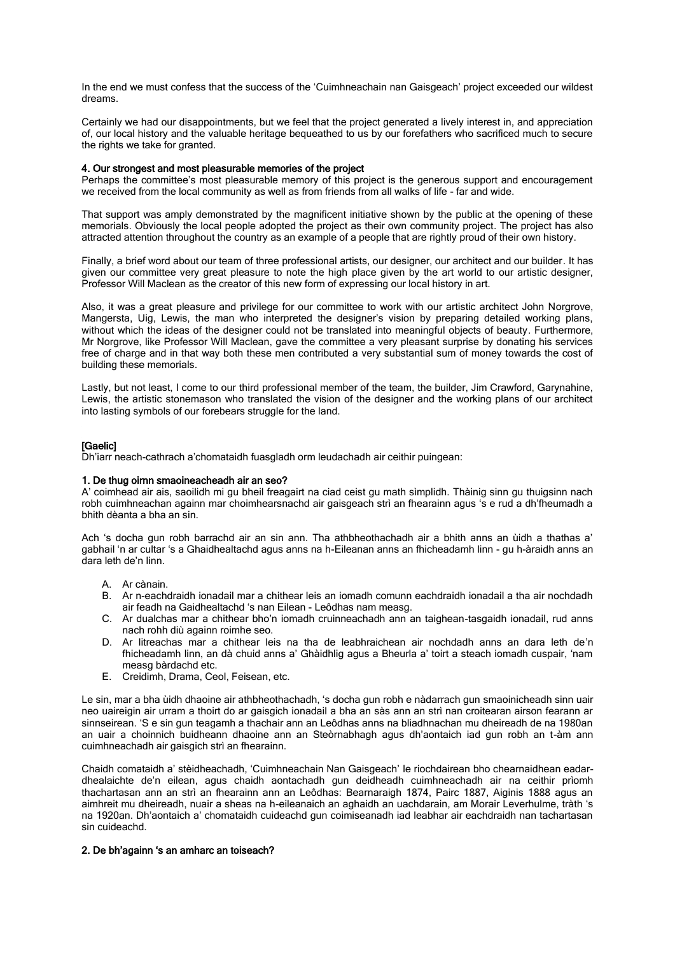In the end we must confess that the success of the 'Cuimhneachain nan Gaisgeach' project exceeded our wildest dreams.

Certainly we had our disappointments, but we feel that the project generated a lively interest in, and appreciation of, our local history and the valuable heritage bequeathed to us by our forefathers who sacrificed much to secure the rights we take for granted.

### 4. Our strongest and most pleasurable memories of the project

Perhaps the committee's most pleasurable memory of this project is the generous support and encouragement we received from the local community as well as from friends from all walks of life - far and wide.

That support was amply demonstrated by the magnificent initiative shown by the public at the opening of these memorials. Obviously the local people adopted the project as their own community project. The project has also attracted attention throughout the country as an example of a people that are rightly proud of their own history.

Finally, a brief word about our team of three professional artists, our designer, our architect and our builder. It has given our committee very great pleasure to note the high place given by the art world to our artistic designer, Professor Will Maclean as the creator of this new form of expressing our local history in art.

Also, it was a great pleasure and privilege for our committee to work with our artistic architect John Norgrove, Mangersta, Uig, Lewis, the man who interpreted the designer's vision by preparing detailed working plans, without which the ideas of the designer could not be translated into meaningful objects of beauty. Furthermore, Mr Norgrove, like Professor Will Maclean, gave the committee a very pleasant surprise by donating his services free of charge and in that way both these men contributed a very substantial sum of money towards the cost of building these memorials.

Lastly, but not least, I come to our third professional member of the team, the builder, Jim Crawford, Garynahine, Lewis, the artistic stonemason who translated the vision of the designer and the working plans of our architect into lasting symbols of our forebears struggle for the land.

# **[Gaelic]**

Dh'iarr neach-cathrach a'chomataidh fuasgladh orm leudachadh air ceithir puingean:

### 1. De thug oirnn smaoineacheadh air an seo?

A' coimhead air ais, saoilidh mi gu bheil freagairt na ciad ceist gu math sìmplidh. Thàinig sinn gu thuigsinn nach robh cuimhneachan againn mar choimhearsnachd air gaisgeach strì an fhearainn agus 's e rud a dh'fheumadh a bhith dèanta a bha an sin.

Ach 's docha gun robh barrachd air an sin ann. Tha athbheothachadh air a bhith anns an ùidh a thathas a' gabhail 'n ar cultar 's a Ghaidhealtachd agus anns na h-Eileanan anns an fhicheadamh linn - gu h-àraidh anns an dara leth de'n linn.

- A. Ar cànain.
- B. Ar n-eachdraidh ionadail mar a chithear leis an iomadh comunn eachdraidh ionadail a tha air nochdadh air feadh na Gaidhealtachd 's nan Eilean - Leôdhas nam measg.
- C. Ar dualchas mar a chithear bho'n iomadh cruinneachadh ann an taighean-tasgaidh ionadail, rud anns nach rohh diù againn roimhe seo.
- D. Ar litreachas mar a chithear leis na tha de leabhraichean air nochdadh anns an dara leth de'n fhicheadamh linn, an dà chuid anns a' Ghàidhlig agus a Bheurla a' toirt a steach iomadh cuspair, 'nam measg bàrdachd etc.
- E. Creidimh, Drama, Ceol, Feisean, etc.

Le sin, mar a bha ùidh dhaoine air athbheothachadh, 's docha gun robh e nàdarrach gun smaoinicheadh sinn uair neo uaireigin air urram a thoirt do ar gaisgich ionadail a bha an sàs ann an strì nan croitearan airson fearann ar sinnseirean. 'S e sin gun teagamh a thachair ann an Leôdhas anns na bliadhnachan mu dheireadh de na 1980an an uair a choinnich buidheann dhaoine ann an Steòrnabhagh agus dh'aontaich iad gun robh an t-àm ann cuimhneachadh air gaisgich strì an fhearainn.

Chaidh comataidh a' stèidheachadh, 'Cuimhneachain Nan Gaisgeach' le riochdairean bho chearnaidhean eadardhealaichte de'n eilean, agus chaidh aontachadh gun deidheadh cuimhneachadh air na ceithir prìomh thachartasan ann an strì an fhearainn ann an Leôdhas: Bearnaraigh 1874, Pairc 1887, Aiginis 1888 agus an aimhreit mu dheireadh, nuair a sheas na h-eileanaich an aghaidh an uachdarain, am Morair Leverhulme, tràth 's na 1920an. Dh'aontaich a' chomataidh cuideachd gun coimiseanadh iad leabhar air eachdraidh nan tachartasan sin cuideachd.

# 2. De bh'againn 's an amharc an toiseach?